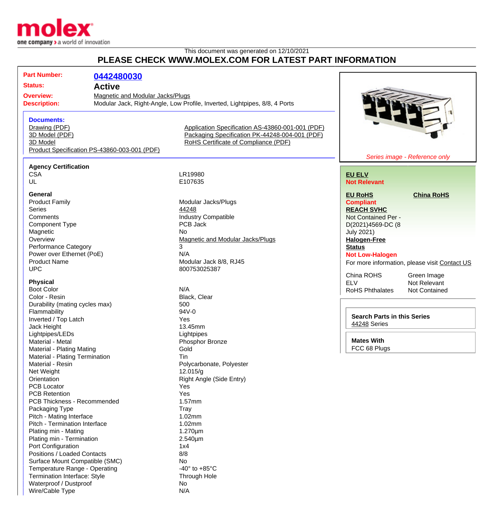

Waterproof / Dustproof No Wire/Cable Type N/A

## This document was generated on 12/10/2021 **PLEASE CHECK WWW.MOLEX.COM FOR LATEST PART INFORMATION**

| PLEASE CHECK WWW.MOLEX.COM FOR LATEST PART INFORMATION                             |                                              |                                                                            |                                    |                                               |  |
|------------------------------------------------------------------------------------|----------------------------------------------|----------------------------------------------------------------------------|------------------------------------|-----------------------------------------------|--|
| <b>Part Number:</b>                                                                | 0442480030                                   |                                                                            |                                    |                                               |  |
| <b>Status:</b>                                                                     | <b>Active</b>                                |                                                                            |                                    |                                               |  |
|                                                                                    |                                              |                                                                            |                                    |                                               |  |
| <b>Overview:</b><br><b>Magnetic and Modular Jacks/Plugs</b><br><b>Description:</b> |                                              | Modular Jack, Right-Angle, Low Profile, Inverted, Lightpipes, 8/8, 4 Ports |                                    |                                               |  |
|                                                                                    |                                              |                                                                            |                                    |                                               |  |
| <b>Documents:</b>                                                                  |                                              |                                                                            |                                    |                                               |  |
| Drawing (PDF)                                                                      |                                              | Application Specification AS-43860-001-001 (PDF)                           |                                    |                                               |  |
| 3D Model (PDF)                                                                     |                                              | Packaging Specification PK-44248-004-001 (PDF)                             |                                    |                                               |  |
| 3D Model                                                                           |                                              | RoHS Certificate of Compliance (PDF)                                       |                                    |                                               |  |
|                                                                                    | Product Specification PS-43860-003-001 (PDF) |                                                                            |                                    |                                               |  |
|                                                                                    |                                              |                                                                            |                                    | Series image - Reference only                 |  |
| <b>Agency Certification</b>                                                        |                                              |                                                                            |                                    |                                               |  |
| <b>CSA</b>                                                                         |                                              | LR19980                                                                    | <b>EU ELV</b>                      |                                               |  |
| UL                                                                                 |                                              | E107635                                                                    | <b>Not Relevant</b>                |                                               |  |
|                                                                                    |                                              |                                                                            |                                    |                                               |  |
| General                                                                            |                                              |                                                                            | <b>EU RoHS</b>                     | <b>China RoHS</b>                             |  |
| <b>Product Family</b>                                                              |                                              | Modular Jacks/Plugs                                                        | <b>Compliant</b>                   |                                               |  |
| <b>Series</b>                                                                      |                                              | 44248                                                                      | <b>REACH SVHC</b>                  |                                               |  |
| Comments                                                                           |                                              | <b>Industry Compatible</b>                                                 | Not Contained Per -                |                                               |  |
| <b>Component Type</b>                                                              |                                              | PCB Jack                                                                   | D(2021)4569-DC (8                  |                                               |  |
| Magnetic                                                                           |                                              | <b>No</b>                                                                  | <b>July 2021)</b>                  |                                               |  |
| Overview                                                                           |                                              | Magnetic and Modular Jacks/Plugs                                           | <b>Halogen-Free</b>                |                                               |  |
| Performance Category                                                               |                                              | 3                                                                          | <b>Status</b>                      |                                               |  |
| Power over Ethernet (PoE)                                                          |                                              | N/A                                                                        | <b>Not Low-Halogen</b>             |                                               |  |
| <b>Product Name</b>                                                                |                                              | Modular Jack 8/8, RJ45                                                     |                                    | For more information, please visit Contact US |  |
| <b>UPC</b>                                                                         |                                              | 800753025387                                                               |                                    |                                               |  |
|                                                                                    |                                              |                                                                            | China ROHS                         | Green Image                                   |  |
| <b>Physical</b><br><b>Boot Color</b>                                               |                                              | N/A                                                                        | <b>ELV</b>                         | Not Relevant                                  |  |
|                                                                                    |                                              |                                                                            | <b>RoHS Phthalates</b>             | Not Contained                                 |  |
| Color - Resin                                                                      |                                              | Black, Clear                                                               |                                    |                                               |  |
| Durability (mating cycles max)                                                     |                                              | 500<br>94V-0                                                               |                                    |                                               |  |
| Flammability                                                                       |                                              |                                                                            | <b>Search Parts in this Series</b> |                                               |  |
| Inverted / Top Latch                                                               |                                              | Yes                                                                        | 44248 Series                       |                                               |  |
| Jack Height                                                                        |                                              | 13.45mm                                                                    |                                    |                                               |  |
| Lightpipes/LEDs                                                                    |                                              | Lightpipes                                                                 | <b>Mates With</b>                  |                                               |  |
| Material - Metal                                                                   |                                              | Phosphor Bronze                                                            | FCC 68 Plugs                       |                                               |  |
| Material - Plating Mating                                                          |                                              | Gold                                                                       |                                    |                                               |  |
| Material - Plating Termination                                                     |                                              | Tin                                                                        |                                    |                                               |  |
| Material - Resin                                                                   |                                              | Polycarbonate, Polyester                                                   |                                    |                                               |  |
| Net Weight                                                                         |                                              | 12.015/g                                                                   |                                    |                                               |  |
| Orientation                                                                        |                                              | Right Angle (Side Entry)                                                   |                                    |                                               |  |
| <b>PCB Locator</b>                                                                 |                                              | Yes                                                                        |                                    |                                               |  |
| <b>PCB Retention</b>                                                               |                                              | Yes                                                                        |                                    |                                               |  |
| PCB Thickness - Recommended                                                        |                                              | 1.57mm                                                                     |                                    |                                               |  |
| Packaging Type                                                                     |                                              | <b>Tray</b>                                                                |                                    |                                               |  |
| Pitch - Mating Interface                                                           |                                              | 1.02mm                                                                     |                                    |                                               |  |
| Pitch - Termination Interface                                                      |                                              | 1.02mm                                                                     |                                    |                                               |  |
| Plating min - Mating                                                               |                                              | 1.270µm                                                                    |                                    |                                               |  |
| Plating min - Termination                                                          |                                              | 2.540µm                                                                    |                                    |                                               |  |
| Port Configuration                                                                 |                                              | 1x4                                                                        |                                    |                                               |  |
| Positions / Loaded Contacts                                                        |                                              | 8/8                                                                        |                                    |                                               |  |
| Surface Mount Compatible (SMC)                                                     |                                              | No                                                                         |                                    |                                               |  |
| Temperature Range - Operating                                                      |                                              | -40 $\degree$ to +85 $\degree$ C                                           |                                    |                                               |  |
| Termination Interface: Style                                                       |                                              | Through Hole                                                               |                                    |                                               |  |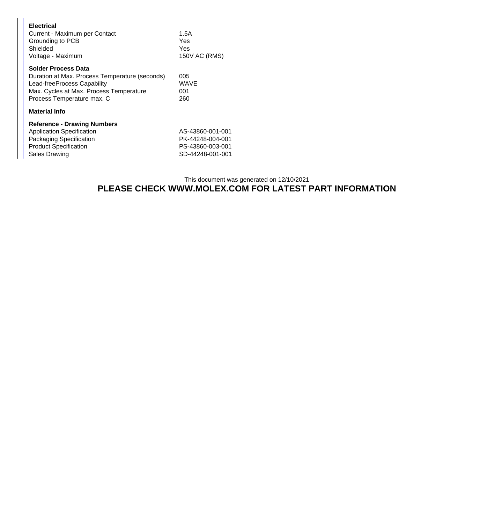| <b>Electrical</b><br>Current - Maximum per Contact<br>Grounding to PCB<br>Shielded<br>Voltage - Maximum                                                                              | 1.5A<br>Yes<br>Yes<br>150V AC (RMS)                                          |  |
|--------------------------------------------------------------------------------------------------------------------------------------------------------------------------------------|------------------------------------------------------------------------------|--|
| <b>Solder Process Data</b><br>Duration at Max. Process Temperature (seconds)<br>Lead-freeProcess Capability<br>Max. Cycles at Max. Process Temperature<br>Process Temperature max. C | 005<br>WAVE<br>001<br>260                                                    |  |
| <b>Material Info</b>                                                                                                                                                                 |                                                                              |  |
| <b>Reference - Drawing Numbers</b><br><b>Application Specification</b><br>Packaging Specification<br><b>Product Specification</b><br><b>Sales Drawing</b>                            | AS-43860-001-001<br>PK-44248-004-001<br>PS-43860-003-001<br>SD-44248-001-001 |  |

## This document was generated on 12/10/2021 **PLEASE CHECK WWW.MOLEX.COM FOR LATEST PART INFORMATION**